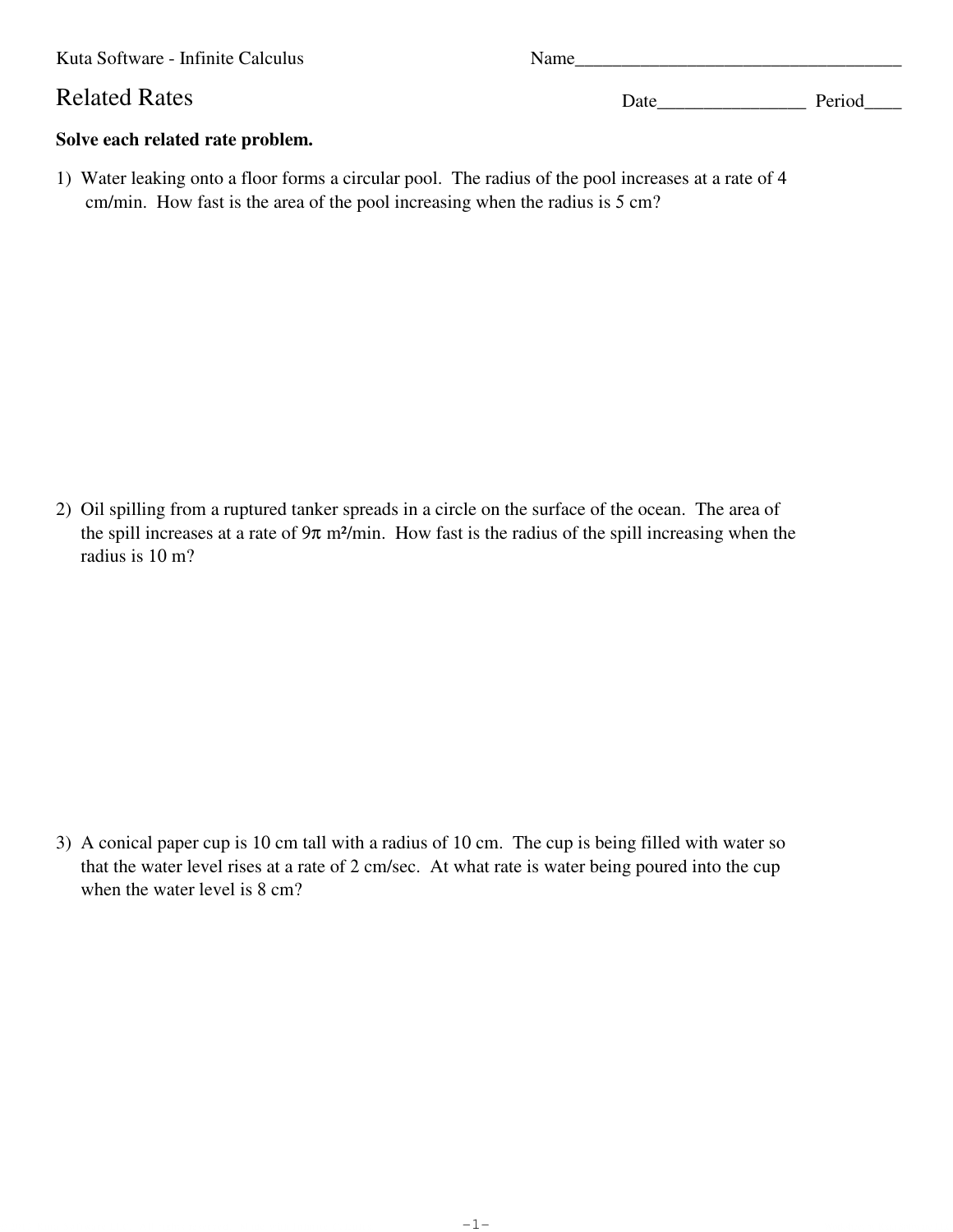Kuta Software - Infinite Calculus Name

## Related Rates Date Date Date Period

## **Solve each related rate problem.**

1) Water leaking onto a floor forms a circular pool. The radius of the pool increases at a rate of 4 cm/min. How fast is the area of the pool increasing when the radius is 5 cm?

2) Oil spilling from a ruptured tanker spreads in a circle on the surface of the ocean. The area of the spill increases at a rate of  $9\pi$  m<sup>2</sup>/min. How fast is the radius of the spill increasing when the radius is 10 m?

3) A conical paper cup is 10 cm tall with a radius of 10 cm. The cup is being filled with water so that the water level rises at a rate of 2 cm/sec. At what rate is water being poured into the cup when the water level is 8 cm?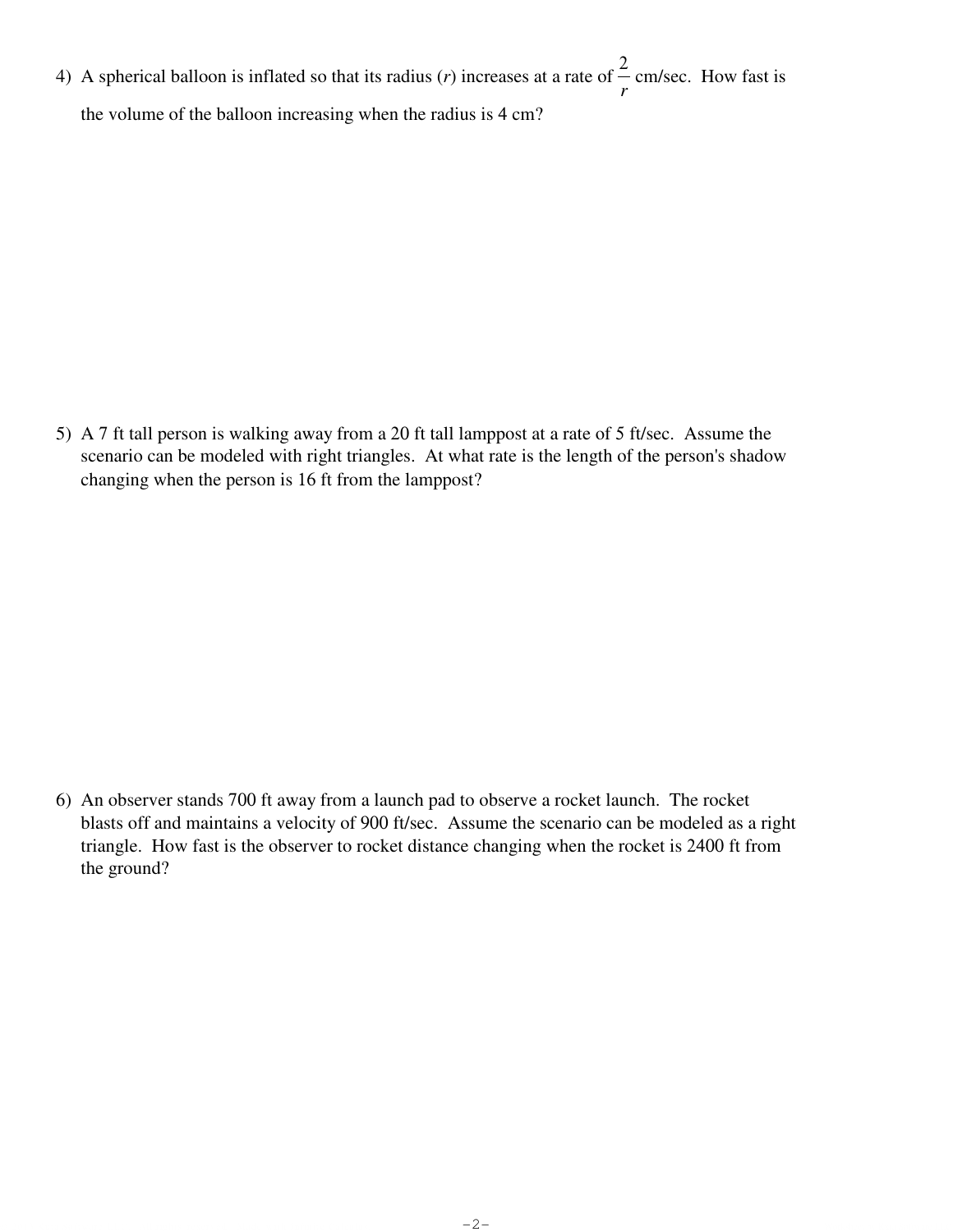4) A spherical balloon is inflated so that its radius (*r*) increases at a rate of 2 *r* cm/sec. How fast is the volume of the balloon increasing when the radius is 4 cm?

5) A 7 ft tall person is walking away from a 20 ft tall lamppost at a rate of 5 ft/sec. Assume the scenario can be modeled with right triangles. At what rate is the length of the person's shadow changing when the person is 16 ft from the lamppost?

6) An observer stands 700 ft away from a launch pad to observe a rocket launch. The rocket blasts off and maintains a velocity of 900 ft/sec. Assume the scenario can be modeled as a right triangle. How fast is the observer to rocket distance changing when the rocket is 2400 ft from the ground?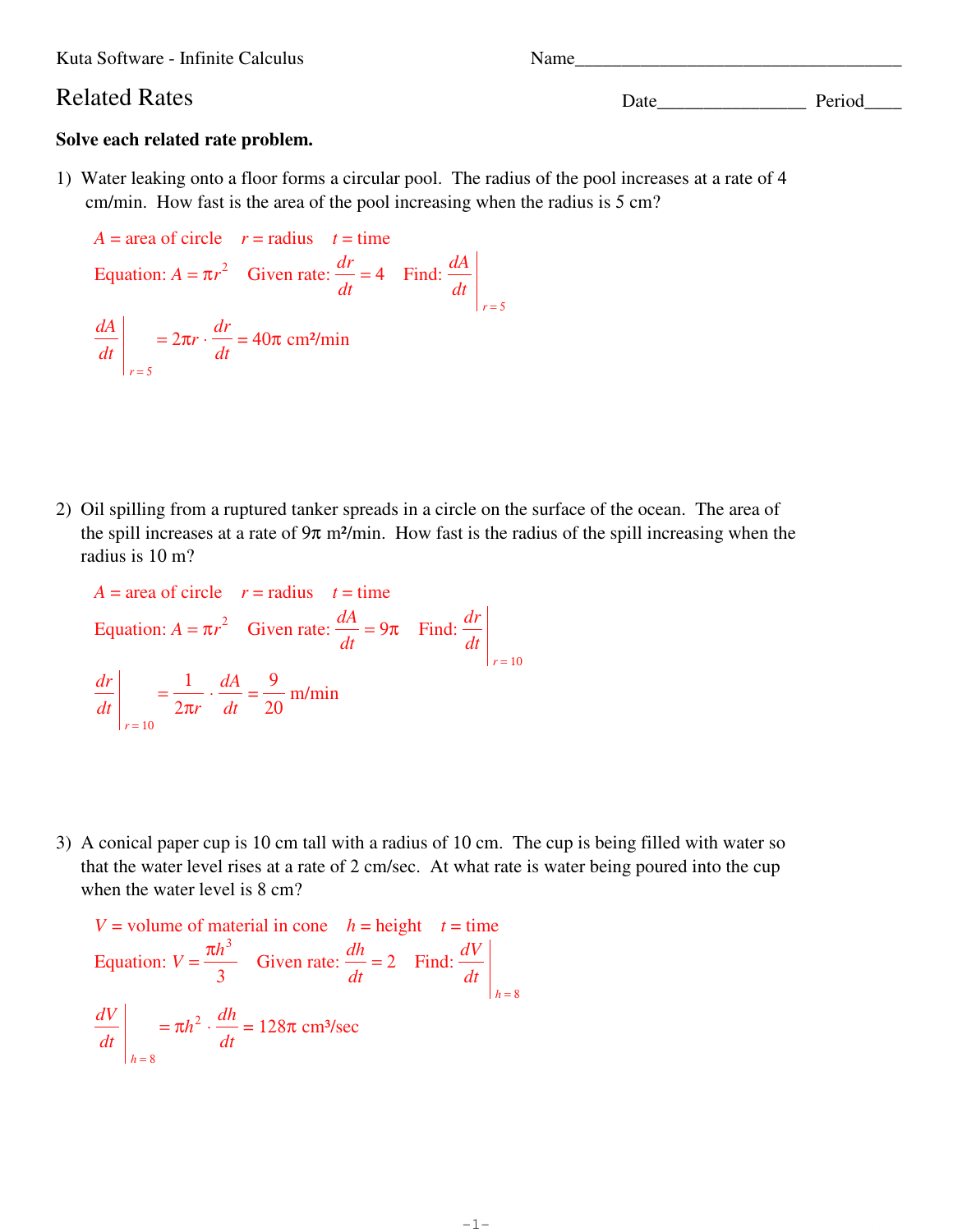Kuta Software - Infinite Calculus Name

Related Rates Date Date Period

## **Solve each related rate problem.**

1) Water leaking onto a floor forms a circular pool. The radius of the pool increases at a rate of 4 cm/min. How fast is the area of the pool increasing when the radius is 5 cm?

 $A = \text{area of circle}$   $r = \text{radius}$   $t = \text{time}$ Equation:  $A = \pi r^2$  Given rate:  $\frac{dr}{dr}$ *dt*  $= 4$  Find:  $\frac{dA}{dt}$ *dt r* = 5 *dA dt r* = 5  $= 2\pi r \cdot \frac{dr}{dr}$ *dt*  $= 40\pi$  cm<sup>2</sup>/min

2) Oil spilling from a ruptured tanker spreads in a circle on the surface of the ocean. The area of the spill increases at a rate of  $9\pi$  m<sup>2</sup>/min. How fast is the radius of the spill increasing when the radius is 10 m?

$$
A = \text{area of circle} \quad r = \text{radius} \quad t = \text{time}
$$
\n
$$
\text{Equation: } A = \pi r^2 \quad \text{Given rate: } \frac{dA}{dt} = 9\pi \quad \text{Find: } \frac{dr}{dt}
$$
\n
$$
\left| \frac{dr}{dt} \right|_{r=10} = \frac{1}{2\pi r} \cdot \frac{dA}{dt} = \frac{9}{20} \text{ m/min}
$$

3) A conical paper cup is 10 cm tall with a radius of 10 cm. The cup is being filled with water so that the water level rises at a rate of 2 cm/sec. At what rate is water being poured into the cup when the water level is 8 cm?

$$
V = \text{volume of material in cone} \quad h = \text{height} \quad t = \text{time}
$$
\n
$$
\text{Equation: } V = \frac{\pi h^3}{3} \quad \text{Given rate: } \frac{dh}{dt} = 2 \quad \text{Find: } \frac{dV}{dt} \Big|_{h=8}
$$
\n
$$
\frac{dV}{dt} \Big|_{h=8} = \pi h^2 \cdot \frac{dh}{dt} = 128\pi \text{ cm}^3/\text{sec}
$$